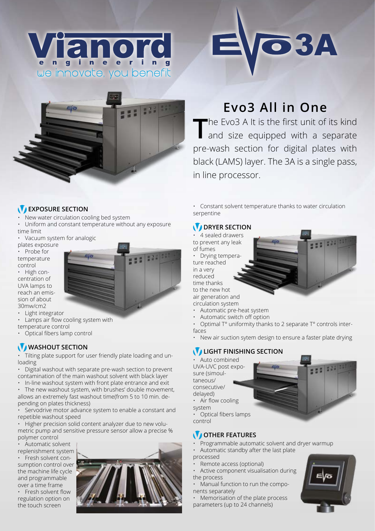





# **Evo3 All in One**

The Evo3 A It is the first unit of its kind and size equipped with a separate pre-wash section for digital plates with black (LAMS) layer. The 3A is a single pass, in line processor.

#### **EXPOSURE SECTION**

• New water circulation cooling bed system

• Uniform and constant temperature without any exposure time limit

• Vacuum system for analogic

plates exposure • Probe for

temperature control • High concentration of UVA lamps to reach an emission of about 30mw/cm2

• Light integrator • Lamps air flow cooling system with temperature control

• Optical fibers lamp control

### WASHOUT SECTION

• Tilting plate support for user friendly plate loading and unloading

• Digital washout with separate pre-wash section to prevent contamination of the main washout solvent with black layer

• In-line washout system with front plate entrance and exit • The new washout system, with brushes' double movement,

allows an extremely fast washout time(from 5 to 10 min. depending on plates thickness)

Servodrive motor advance system to enable a constant and repetible washout speed

• Higher precision solid content analyzer due to new volumetric pump and sensitive pressure sensor allow a precise % polymer control

• Automatic solvent replenishment system • Fresh solvent consumption control over the machine life cycle and programmable

over a time frame • Fresh solvent flow regulation option on the touch screen



• Constant solvent temperature thanks to water circulation serpentine

#### *DRYER SECTION*

• 4 sealed drawers to prevent any leak of fumes

• Drying tempera

ture reached in a very reduced time thanks to the new hot



- Automatic pre-heat system
- Automatic switch off option
- Optimal T° uniformity thanks to 2 separate T° controls interfaces
- New air suction sytem design to ensure a faster plate drying

## **LIGHT FINISHING SECTION**

• Auto combined UVA-UVC post exposure (simoultaneous/ consecutive/ delayed) • Air flow cooling



system • Optical fibers lamps

control

#### *OTHER FEATURES*

• Programmable automatic solvent and dryer warmup

• Automatic standby after the last plate

- processed
- Remote access (optional)

• Active component visualisation during the process

• Manual function to run the components separately

Memorisation of the plate process parameters (up to 24 channels)